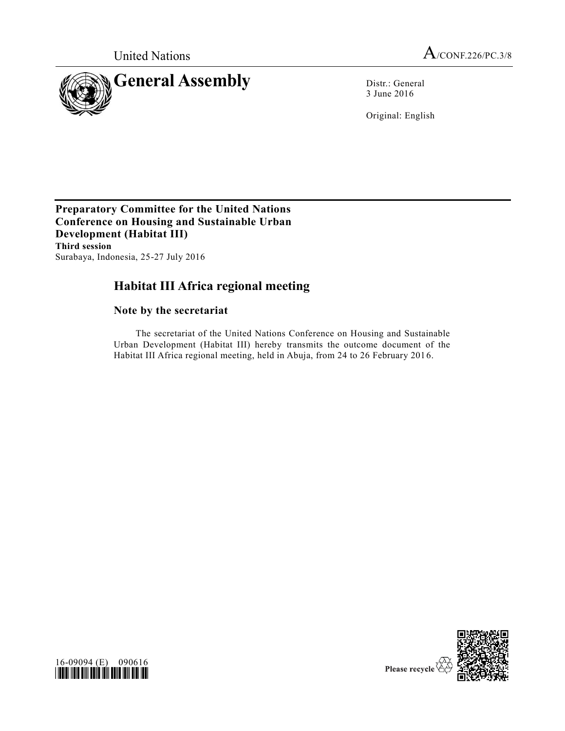

3 June 2016

Original: English

**Preparatory Committee for the United Nations Conference on Housing and Sustainable Urban Development (Habitat III) Third session** Surabaya, Indonesia, 25-27 July 2016

## **Habitat III Africa regional meeting**

## **Note by the secretariat**

The secretariat of the United Nations Conference on Housing and Sustainable Urban Development (Habitat III) hereby transmits the outcome document of the Habitat III Africa regional meeting, held in Abuja, from 24 to 26 February 2016.



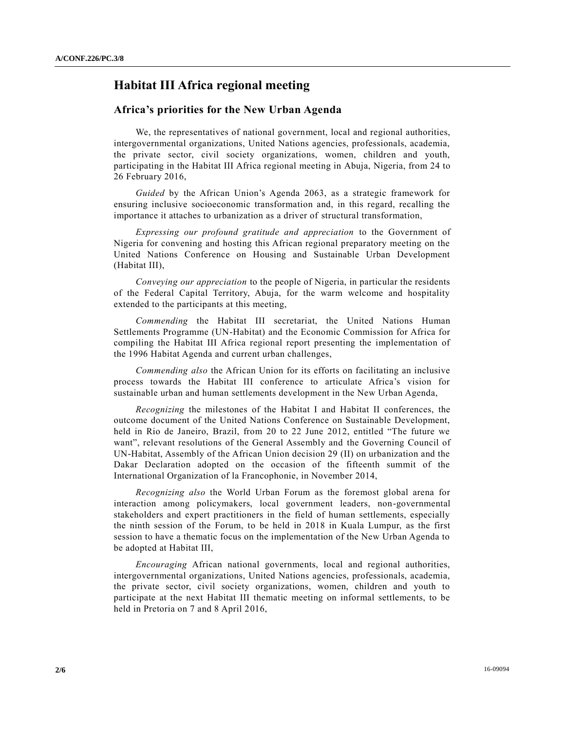## **Habitat III Africa regional meeting**

## **Africa's priorities for the New Urban Agenda**

We, the representatives of national government, local and regional authorities, intergovernmental organizations, United Nations agencies, professionals, academia, the private sector, civil society organizations, women, children and youth, participating in the Habitat III Africa regional meeting in Abuja, Nigeria, from 24 to 26 February 2016,

*Guided* by the African Union's Agenda 2063, as a strategic framework for ensuring inclusive socioeconomic transformation and, in this regard, recalling the importance it attaches to urbanization as a driver of structural transformation,

*Expressing our profound gratitude and appreciation* to the Government of Nigeria for convening and hosting this African regional preparatory meeting on the United Nations Conference on Housing and Sustainable Urban Development (Habitat III),

*Conveying our appreciation* to the people of Nigeria, in particular the residents of the Federal Capital Territory, Abuja, for the warm welcome and hospitality extended to the participants at this meeting,

*Commending* the Habitat III secretariat, the United Nations Human Settlements Programme (UN-Habitat) and the Economic Commission for Africa for compiling the Habitat III Africa regional report presenting the implementation of the 1996 Habitat Agenda and current urban challenges,

*Commending also* the African Union for its efforts on facilitating an inclusive process towards the Habitat III conference to articulate Africa's vision for sustainable urban and human settlements development in the New Urban Agenda,

*Recognizing* the milestones of the Habitat I and Habitat II conferences, the outcome document of the United Nations Conference on Sustainable Development, held in Rio de Janeiro, Brazil, from 20 to 22 June 2012, entitled "The future we want", relevant resolutions of the General Assembly and the Governing Council of UN-Habitat, Assembly of the African Union decision 29 (II) on urbanization and the Dakar Declaration adopted on the occasion of the fifteenth summit of the International Organization of la Francophonie, in November 2014,

*Recognizing also* the World Urban Forum as the foremost global arena for interaction among policymakers, local government leaders, non-governmental stakeholders and expert practitioners in the field of human settlements, especially the ninth session of the Forum, to be held in 2018 in Kuala Lumpur, as the first session to have a thematic focus on the implementation of the New Urban Agenda to be adopted at Habitat III,

*Encouraging* African national governments, local and regional authorities, intergovernmental organizations, United Nations agencies, professionals, academia, the private sector, civil society organizations, women, children and youth to participate at the next Habitat III thematic meeting on informal settlements, to be held in Pretoria on 7 and 8 April 2016,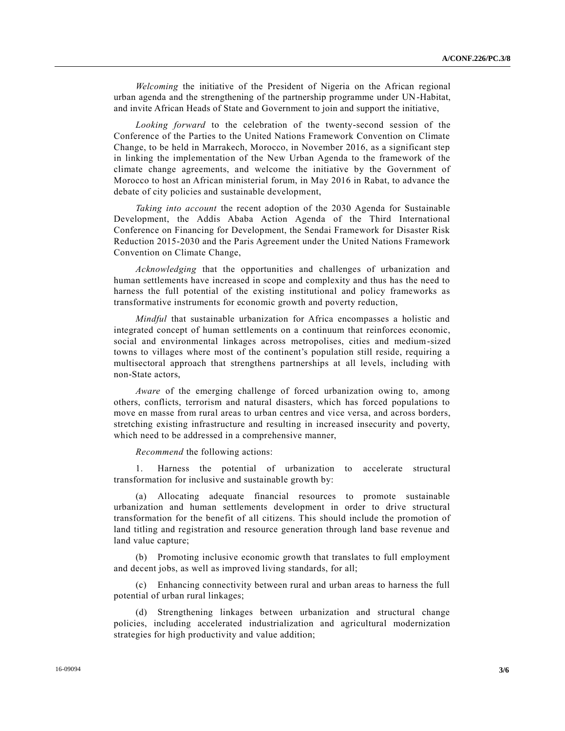*Welcoming* the initiative of the President of Nigeria on the African regional urban agenda and the strengthening of the partnership programme under UN-Habitat, and invite African Heads of State and Government to join and support the initiative,

*Looking forward* to the celebration of the twenty-second session of the Conference of the Parties to the United Nations Framework Convention on Climate Change, to be held in Marrakech, Morocco, in November 2016, as a significant step in linking the implementation of the New Urban Agenda to the framework of the climate change agreements, and welcome the initiative by the Government of Morocco to host an African ministerial forum, in May 2016 in Rabat, to advance the debate of city policies and sustainable development,

*Taking into account* the recent adoption of the 2030 Agenda for Sustainable Development, the Addis Ababa Action Agenda of the Third International Conference on Financing for Development, the Sendai Framework for Disaster Risk Reduction 2015-2030 and the Paris Agreement under the United Nations Framework Convention on Climate Change,

*Acknowledging* that the opportunities and challenges of urbanization and human settlements have increased in scope and complexity and thus has the need to harness the full potential of the existing institutional and policy frameworks as transformative instruments for economic growth and poverty reduction,

*Mindful* that sustainable urbanization for Africa encompasses a holistic and integrated concept of human settlements on a continuum that reinforces economic, social and environmental linkages across metropolises, cities and medium-sized towns to villages where most of the continent's population still reside, requiring a multisectoral approach that strengthens partnerships at all levels, including with non-State actors,

*Aware* of the emerging challenge of forced urbanization owing to, among others, conflicts, terrorism and natural disasters, which has forced populations to move en masse from rural areas to urban centres and vice versa, and across borders, stretching existing infrastructure and resulting in increased insecurity and poverty, which need to be addressed in a comprehensive manner,

*Recommend* the following actions:

1. Harness the potential of urbanization to accelerate structural transformation for inclusive and sustainable growth by:

(a) Allocating adequate financial resources to promote sustainable urbanization and human settlements development in order to drive structural transformation for the benefit of all citizens. This should include the promotion of land titling and registration and resource generation through land base revenue and land value capture;

(b) Promoting inclusive economic growth that translates to full employment and decent jobs, as well as improved living standards, for all;

(c) Enhancing connectivity between rural and urban areas to harness the full potential of urban rural linkages;

(d) Strengthening linkages between urbanization and structural change policies, including accelerated industrialization and agricultural modernization strategies for high productivity and value addition;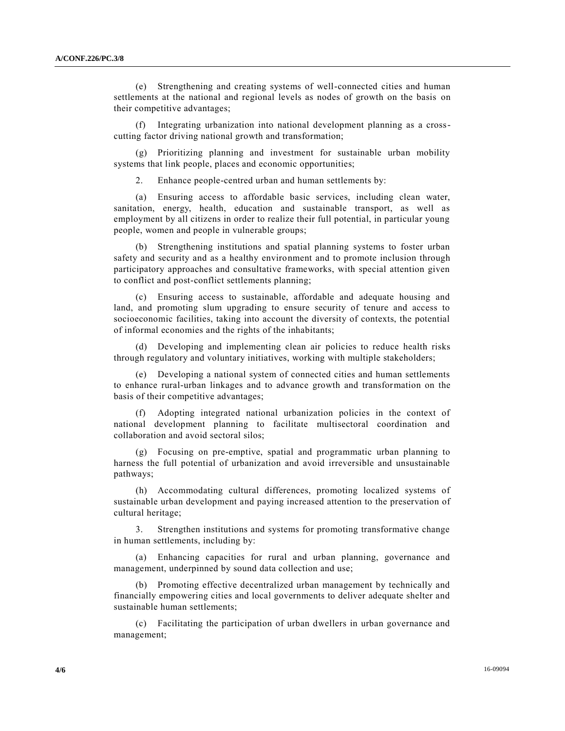(e) Strengthening and creating systems of well-connected cities and human settlements at the national and regional levels as nodes of growth on the basis on their competitive advantages;

(f) Integrating urbanization into national development planning as a crosscutting factor driving national growth and transformation;

Prioritizing planning and investment for sustainable urban mobility systems that link people, places and economic opportunities;

2. Enhance people-centred urban and human settlements by:

(a) Ensuring access to affordable basic services, including clean water, sanitation, energy, health, education and sustainable transport, as well as employment by all citizens in order to realize their full potential, in particular young people, women and people in vulnerable groups;

(b) Strengthening institutions and spatial planning systems to foster urban safety and security and as a healthy environment and to promote inclusion through participatory approaches and consultative frameworks, with special attention given to conflict and post-conflict settlements planning;

(c) Ensuring access to sustainable, affordable and adequate housing and land, and promoting slum upgrading to ensure security of tenure and access to socioeconomic facilities, taking into account the diversity of contexts, the potential of informal economies and the rights of the inhabitants;

(d) Developing and implementing clean air policies to reduce health risks through regulatory and voluntary initiatives, working with multiple stakeholders;

(e) Developing a national system of connected cities and human settlements to enhance rural-urban linkages and to advance growth and transformation on the basis of their competitive advantages;

(f) Adopting integrated national urbanization policies in the context of national development planning to facilitate multisectoral coordination and collaboration and avoid sectoral silos;

(g) Focusing on pre-emptive, spatial and programmatic urban planning to harness the full potential of urbanization and avoid irreversible and unsustainable pathways;

(h) Accommodating cultural differences, promoting localized systems of sustainable urban development and paying increased attention to the preservation of cultural heritage;

3. Strengthen institutions and systems for promoting transformative change in human settlements, including by:

(a) Enhancing capacities for rural and urban planning, governance and management, underpinned by sound data collection and use;

(b) Promoting effective decentralized urban management by technically and financially empowering cities and local governments to deliver adequate shelter and sustainable human settlements;

(c) Facilitating the participation of urban dwellers in urban governance and management;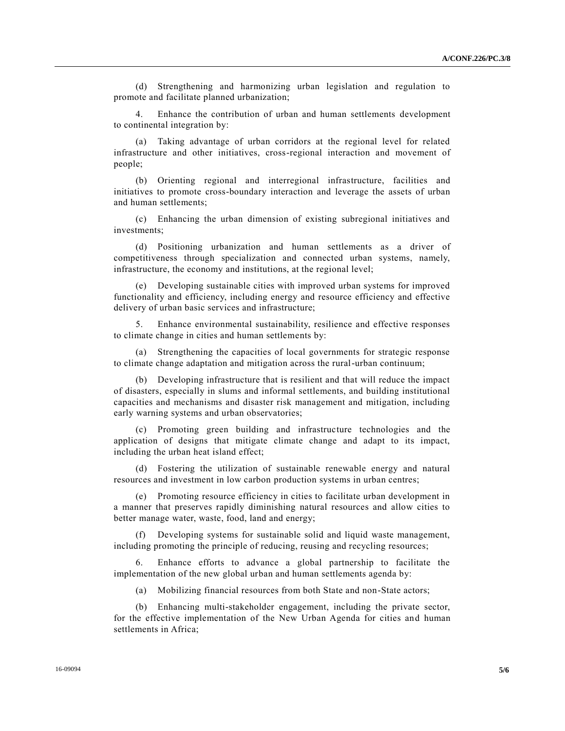(d) Strengthening and harmonizing urban legislation and regulation to promote and facilitate planned urbanization;

4. Enhance the contribution of urban and human settlements development to continental integration by:

(a) Taking advantage of urban corridors at the regional level for related infrastructure and other initiatives, cross-regional interaction and movement of people;

(b) Orienting regional and interregional infrastructure, facilities and initiatives to promote cross-boundary interaction and leverage the assets of urban and human settlements;

(c) Enhancing the urban dimension of existing subregional initiatives and investments;

(d) Positioning urbanization and human settlements as a driver of competitiveness through specialization and connected urban systems, namely, infrastructure, the economy and institutions, at the regional level;

(e) Developing sustainable cities with improved urban systems for improved functionality and efficiency, including energy and resource efficiency and effective delivery of urban basic services and infrastructure;

5. Enhance environmental sustainability, resilience and effective responses to climate change in cities and human settlements by:

(a) Strengthening the capacities of local governments for strategic response to climate change adaptation and mitigation across the rural-urban continuum;

(b) Developing infrastructure that is resilient and that will reduce the impact of disasters, especially in slums and informal settlements, and building institutional capacities and mechanisms and disaster risk management and mitigation, including early warning systems and urban observatories;

(c) Promoting green building and infrastructure technologies and the application of designs that mitigate climate change and adapt to its impact, including the urban heat island effect;

(d) Fostering the utilization of sustainable renewable energy and natural resources and investment in low carbon production systems in urban centres;

(e) Promoting resource efficiency in cities to facilitate urban development in a manner that preserves rapidly diminishing natural resources and allow cities to better manage water, waste, food, land and energy;

(f) Developing systems for sustainable solid and liquid waste management, including promoting the principle of reducing, reusing and recycling resources;

6. Enhance efforts to advance a global partnership to facilitate the implementation of the new global urban and human settlements agenda by:

(a) Mobilizing financial resources from both State and non-State actors;

(b) Enhancing multi-stakeholder engagement, including the private sector, for the effective implementation of the New Urban Agenda for cities and human settlements in Africa;